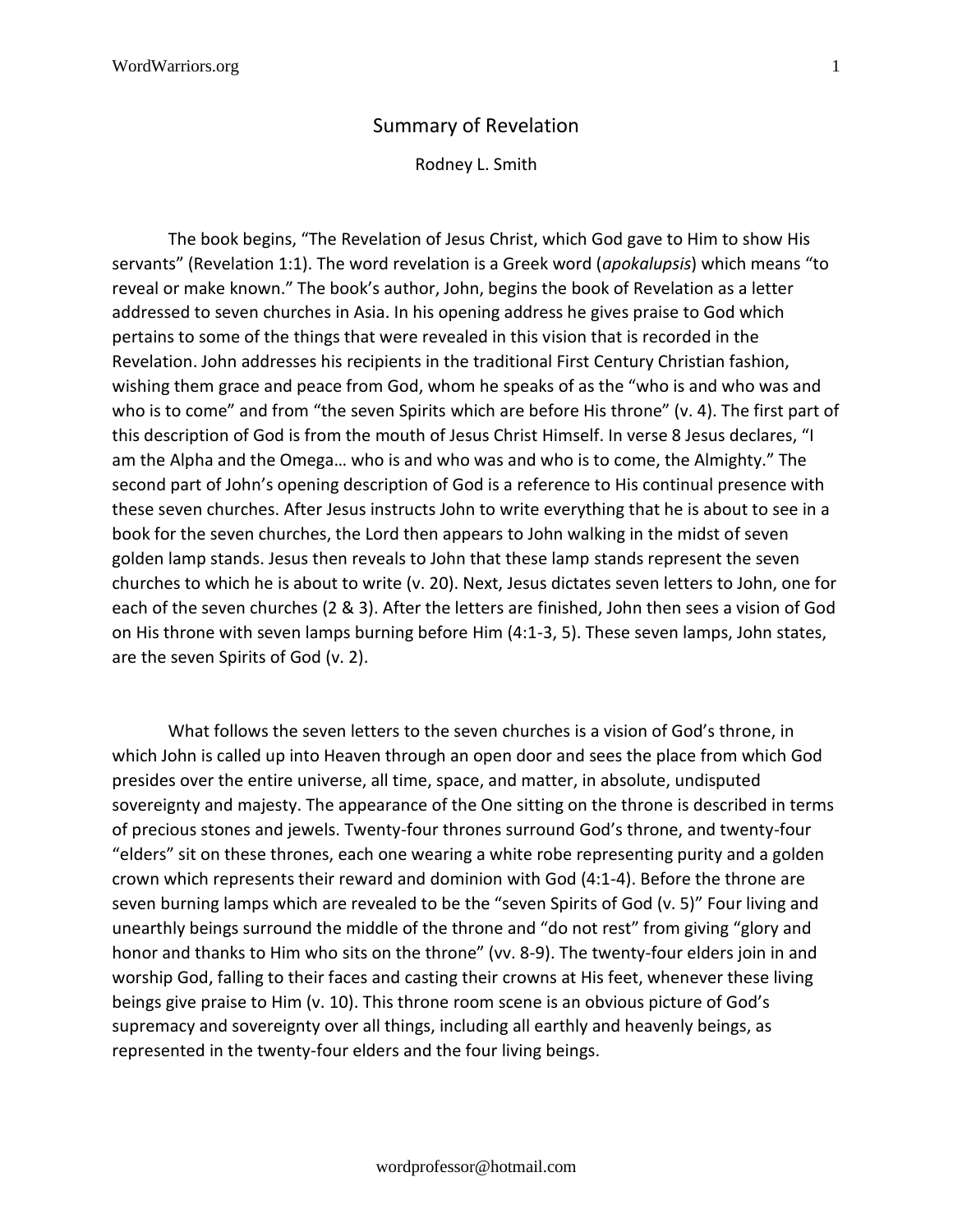## Summary of Revelation

Rodney L. Smith

The book begins, "The Revelation of Jesus Christ, which God gave to Him to show His servants" (Revelation 1:1). The word revelation is a Greek word (*apokalupsis*) which means "to reveal or make known." The book's author, John, begins the book of Revelation as a letter addressed to seven churches in Asia. In his opening address he gives praise to God which pertains to some of the things that were revealed in this vision that is recorded in the Revelation. John addresses his recipients in the traditional First Century Christian fashion, wishing them grace and peace from God, whom he speaks of as the "who is and who was and who is to come" and from "the seven Spirits which are before His throne" (v. 4). The first part of this description of God is from the mouth of Jesus Christ Himself. In verse 8 Jesus declares, "I am the Alpha and the Omega… who is and who was and who is to come, the Almighty." The second part of John's opening description of God is a reference to His continual presence with these seven churches. After Jesus instructs John to write everything that he is about to see in a book for the seven churches, the Lord then appears to John walking in the midst of seven golden lamp stands. Jesus then reveals to John that these lamp stands represent the seven churches to which he is about to write (v. 20). Next, Jesus dictates seven letters to John, one for each of the seven churches (2 & 3). After the letters are finished, John then sees a vision of God on His throne with seven lamps burning before Him (4:1-3, 5). These seven lamps, John states, are the seven Spirits of God (v. 2).

What follows the seven letters to the seven churches is a vision of God's throne, in which John is called up into Heaven through an open door and sees the place from which God presides over the entire universe, all time, space, and matter, in absolute, undisputed sovereignty and majesty. The appearance of the One sitting on the throne is described in terms of precious stones and jewels. Twenty-four thrones surround God's throne, and twenty-four "elders" sit on these thrones, each one wearing a white robe representing purity and a golden crown which represents their reward and dominion with God (4:1-4). Before the throne are seven burning lamps which are revealed to be the "seven Spirits of God (v. 5)" Four living and unearthly beings surround the middle of the throne and "do not rest" from giving "glory and honor and thanks to Him who sits on the throne" (vv. 8-9). The twenty-four elders join in and worship God, falling to their faces and casting their crowns at His feet, whenever these living beings give praise to Him (v. 10). This throne room scene is an obvious picture of God's supremacy and sovereignty over all things, including all earthly and heavenly beings, as represented in the twenty-four elders and the four living beings.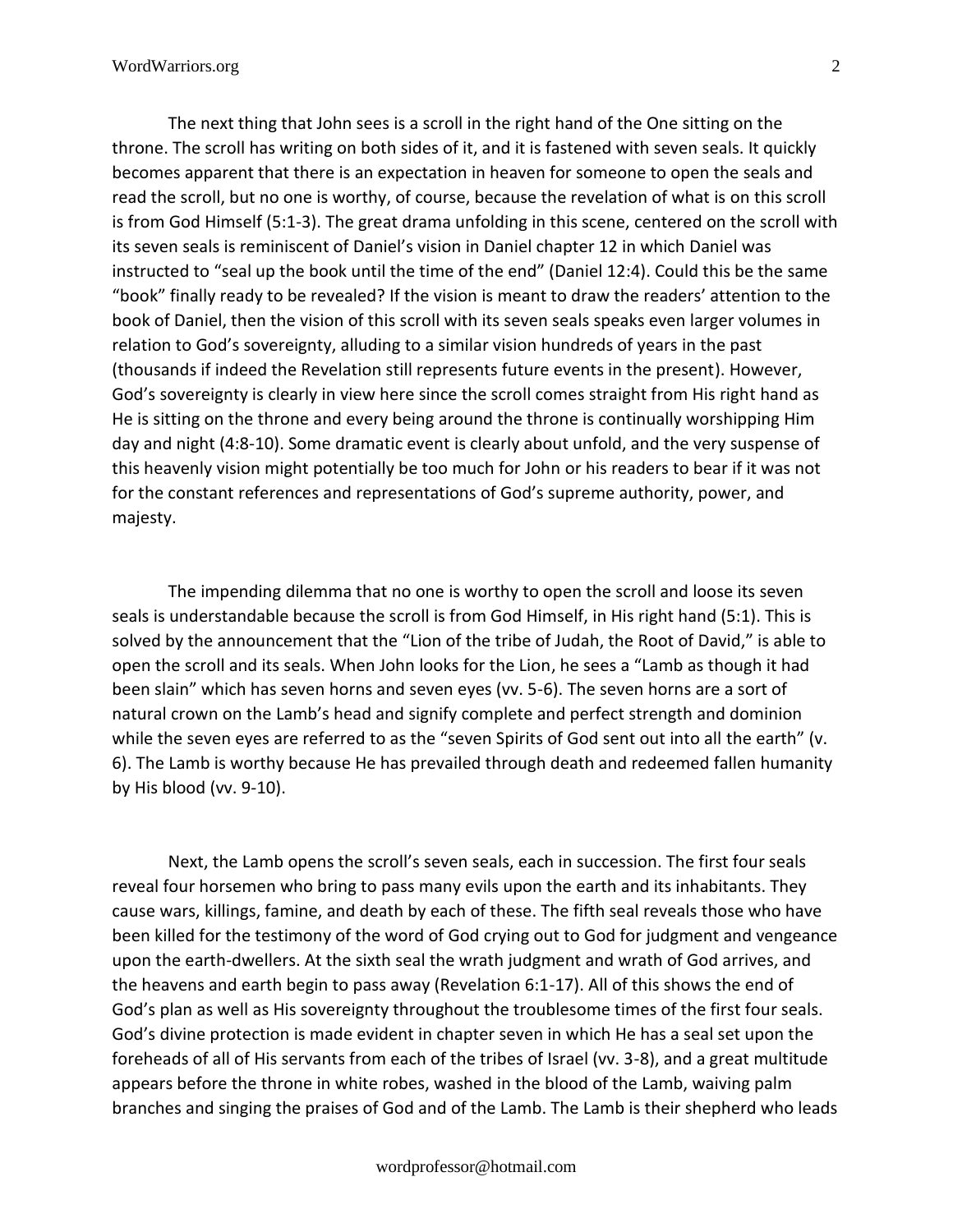The next thing that John sees is a scroll in the right hand of the One sitting on the throne. The scroll has writing on both sides of it, and it is fastened with seven seals. It quickly becomes apparent that there is an expectation in heaven for someone to open the seals and read the scroll, but no one is worthy, of course, because the revelation of what is on this scroll is from God Himself (5:1-3). The great drama unfolding in this scene, centered on the scroll with its seven seals is reminiscent of Daniel's vision in Daniel chapter 12 in which Daniel was instructed to "seal up the book until the time of the end" (Daniel 12:4). Could this be the same "book" finally ready to be revealed? If the vision is meant to draw the readers' attention to the book of Daniel, then the vision of this scroll with its seven seals speaks even larger volumes in relation to God's sovereignty, alluding to a similar vision hundreds of years in the past (thousands if indeed the Revelation still represents future events in the present). However, God's sovereignty is clearly in view here since the scroll comes straight from His right hand as He is sitting on the throne and every being around the throne is continually worshipping Him day and night (4:8-10). Some dramatic event is clearly about unfold, and the very suspense of this heavenly vision might potentially be too much for John or his readers to bear if it was not for the constant references and representations of God's supreme authority, power, and majesty.

The impending dilemma that no one is worthy to open the scroll and loose its seven seals is understandable because the scroll is from God Himself, in His right hand (5:1). This is solved by the announcement that the "Lion of the tribe of Judah, the Root of David," is able to open the scroll and its seals. When John looks for the Lion, he sees a "Lamb as though it had been slain" which has seven horns and seven eyes (vv. 5-6). The seven horns are a sort of natural crown on the Lamb's head and signify complete and perfect strength and dominion while the seven eyes are referred to as the "seven Spirits of God sent out into all the earth" (v. 6). The Lamb is worthy because He has prevailed through death and redeemed fallen humanity by His blood (vv. 9-10).

Next, the Lamb opens the scroll's seven seals, each in succession. The first four seals reveal four horsemen who bring to pass many evils upon the earth and its inhabitants. They cause wars, killings, famine, and death by each of these. The fifth seal reveals those who have been killed for the testimony of the word of God crying out to God for judgment and vengeance upon the earth-dwellers. At the sixth seal the wrath judgment and wrath of God arrives, and the heavens and earth begin to pass away (Revelation 6:1-17). All of this shows the end of God's plan as well as His sovereignty throughout the troublesome times of the first four seals. God's divine protection is made evident in chapter seven in which He has a seal set upon the foreheads of all of His servants from each of the tribes of Israel (vv. 3-8), and a great multitude appears before the throne in white robes, washed in the blood of the Lamb, waiving palm branches and singing the praises of God and of the Lamb. The Lamb is their shepherd who leads

wordprofessor@hotmail.com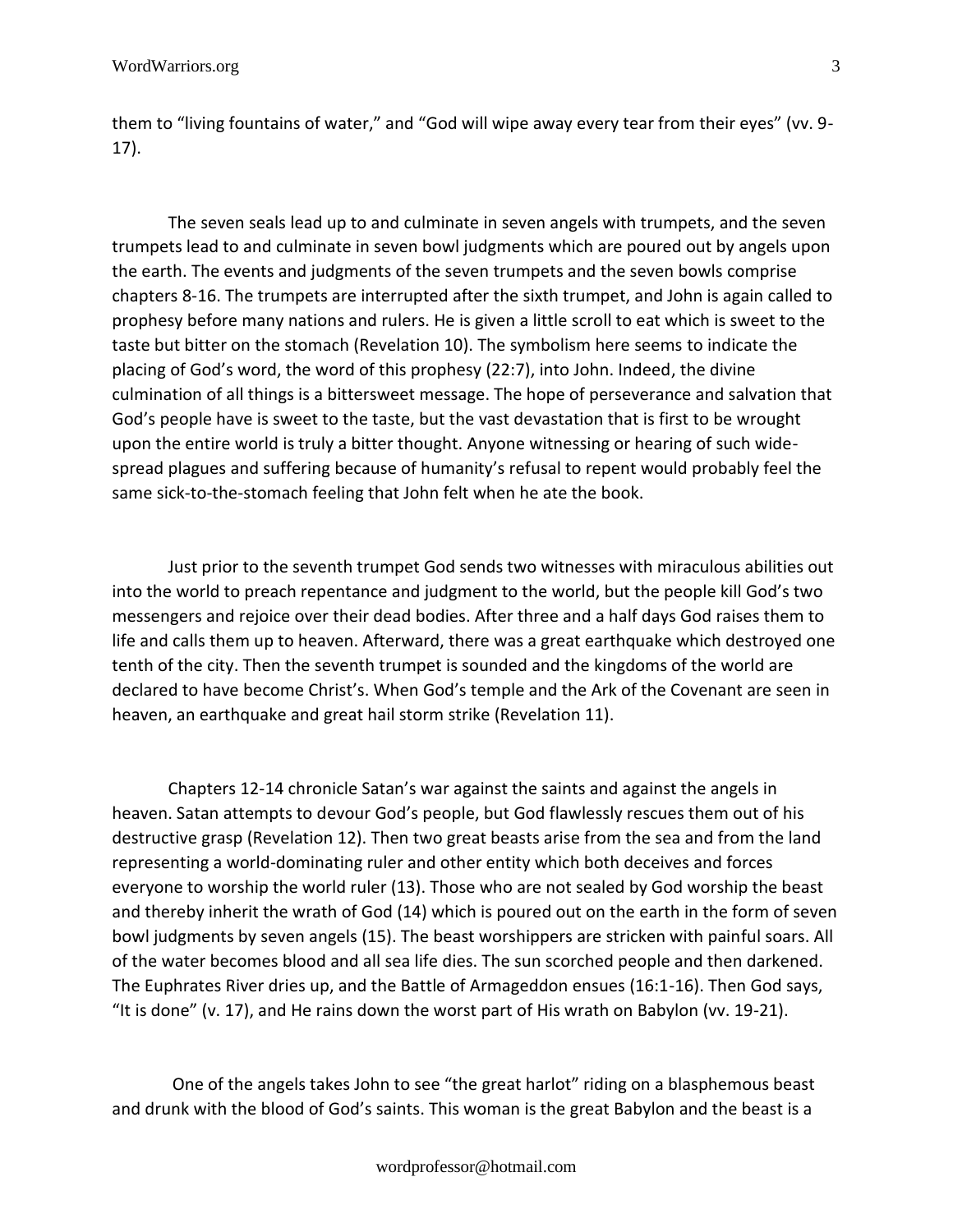them to "living fountains of water," and "God will wipe away every tear from their eyes" (vv. 9- 17).

The seven seals lead up to and culminate in seven angels with trumpets, and the seven trumpets lead to and culminate in seven bowl judgments which are poured out by angels upon the earth. The events and judgments of the seven trumpets and the seven bowls comprise chapters 8-16. The trumpets are interrupted after the sixth trumpet, and John is again called to prophesy before many nations and rulers. He is given a little scroll to eat which is sweet to the taste but bitter on the stomach (Revelation 10). The symbolism here seems to indicate the placing of God's word, the word of this prophesy (22:7), into John. Indeed, the divine culmination of all things is a bittersweet message. The hope of perseverance and salvation that God's people have is sweet to the taste, but the vast devastation that is first to be wrought upon the entire world is truly a bitter thought. Anyone witnessing or hearing of such widespread plagues and suffering because of humanity's refusal to repent would probably feel the same sick-to-the-stomach feeling that John felt when he ate the book.

Just prior to the seventh trumpet God sends two witnesses with miraculous abilities out into the world to preach repentance and judgment to the world, but the people kill God's two messengers and rejoice over their dead bodies. After three and a half days God raises them to life and calls them up to heaven. Afterward, there was a great earthquake which destroyed one tenth of the city. Then the seventh trumpet is sounded and the kingdoms of the world are declared to have become Christ's. When God's temple and the Ark of the Covenant are seen in heaven, an earthquake and great hail storm strike (Revelation 11).

Chapters 12-14 chronicle Satan's war against the saints and against the angels in heaven. Satan attempts to devour God's people, but God flawlessly rescues them out of his destructive grasp (Revelation 12). Then two great beasts arise from the sea and from the land representing a world-dominating ruler and other entity which both deceives and forces everyone to worship the world ruler (13). Those who are not sealed by God worship the beast and thereby inherit the wrath of God (14) which is poured out on the earth in the form of seven bowl judgments by seven angels (15). The beast worshippers are stricken with painful soars. All of the water becomes blood and all sea life dies. The sun scorched people and then darkened. The Euphrates River dries up, and the Battle of Armageddon ensues (16:1-16). Then God says, "It is done" (v. 17), and He rains down the worst part of His wrath on Babylon (vv. 19-21).

One of the angels takes John to see "the great harlot" riding on a blasphemous beast and drunk with the blood of God's saints. This woman is the great Babylon and the beast is a